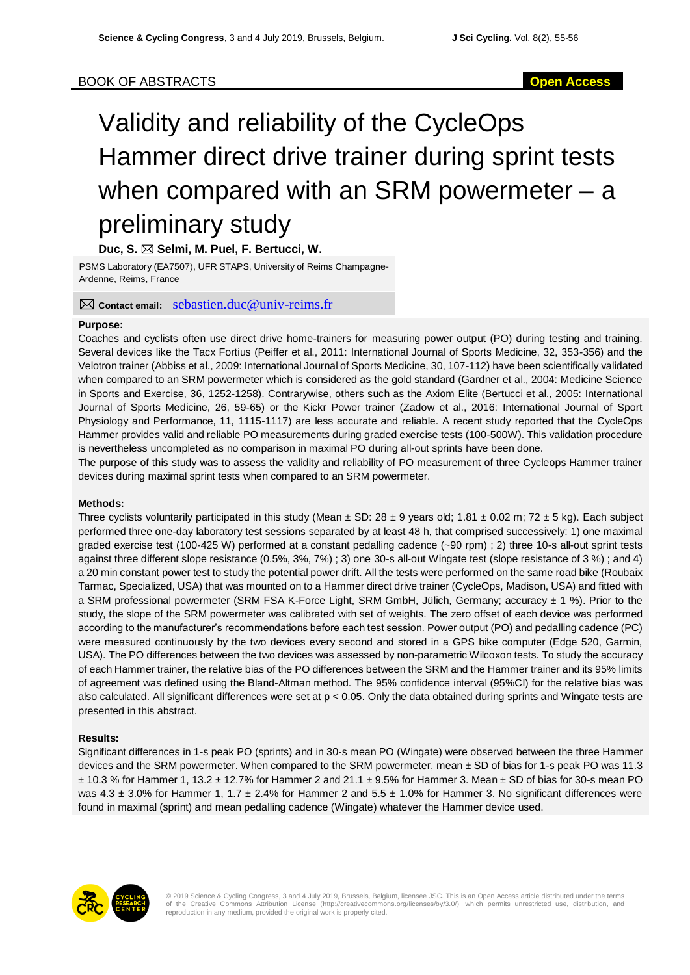# Validity and reliability of the CycleOps Hammer direct drive trainer during sprint tests when compared with an SRM powermeter – a preliminary study

## **Duc, S. Selmi, M. Puel, F. Bertucci, W.**

PSMS Laboratory (EA7507), UFR STAPS, University of Reims Champagne-Ardenne, Reims, France

### **Contact email:** [sebastien.duc@univ-reims.fr](mailto:sebastien.duc@univ-reims.fr)

### **Purpose:**

Coaches and cyclists often use direct drive home-trainers for measuring power output (PO) during testing and training. Several devices like the Tacx Fortius (Peiffer et al., 2011: International Journal of Sports Medicine, 32, 353-356) and the Velotron trainer (Abbiss et al., 2009: International Journal of Sports Medicine, 30, 107-112) have been scientifically validated when compared to an SRM powermeter which is considered as the gold standard (Gardner et al., 2004: Medicine Science in Sports and Exercise, 36, 1252-1258). Contrarywise, others such as the Axiom Elite (Bertucci et al., 2005: International Journal of Sports Medicine, 26, 59-65) or the Kickr Power trainer (Zadow et al., 2016: International Journal of Sport Physiology and Performance, 11, 1115-1117) are less accurate and reliable. A recent study reported that the CycleOps Hammer provides valid and reliable PO measurements during graded exercise tests (100-500W). This validation procedure is nevertheless uncompleted as no comparison in maximal PO during all-out sprints have been done.

The purpose of this study was to assess the validity and reliability of PO measurement of three Cycleops Hammer trainer devices during maximal sprint tests when compared to an SRM powermeter.

### **Methods:**

Three cyclists voluntarily participated in this study (Mean  $\pm$  SD: 28  $\pm$  9 years old; 1.81  $\pm$  0.02 m; 72  $\pm$  5 kg). Each subject performed three one-day laboratory test sessions separated by at least 48 h, that comprised successively: 1) one maximal graded exercise test (100-425 W) performed at a constant pedalling cadence (~90 rpm) ; 2) three 10-s all-out sprint tests against three different slope resistance (0.5%, 3%, 7%) ; 3) one 30-s all-out Wingate test (slope resistance of 3 %) ; and 4) a 20 min constant power test to study the potential power drift. All the tests were performed on the same road bike (Roubaix Tarmac, Specialized, USA) that was mounted on to a Hammer direct drive trainer (CycleOps, Madison, USA) and fitted with a SRM professional powermeter (SRM FSA K-Force Light, SRM GmbH, Jülich, Germany; accuracy ± 1 %). Prior to the study, the slope of the SRM powermeter was calibrated with set of weights. The zero offset of each device was performed according to the manufacturer's recommendations before each test session. Power output (PO) and pedalling cadence (PC) were measured continuously by the two devices every second and stored in a GPS bike computer (Edge 520, Garmin, USA). The PO differences between the two devices was assessed by non-parametric Wilcoxon tests. To study the accuracy of each Hammer trainer, the relative bias of the PO differences between the SRM and the Hammer trainer and its 95% limits of agreement was defined using the Bland-Altman method. The 95% confidence interval (95%CI) for the relative bias was also calculated. All significant differences were set at p < 0.05. Only the data obtained during sprints and Wingate tests are presented in this abstract.

### **Results:**

Significant differences in 1-s peak PO (sprints) and in 30-s mean PO (Wingate) were observed between the three Hammer devices and the SRM powermeter. When compared to the SRM powermeter, mean ± SD of bias for 1-s peak PO was 11.3  $\pm$  10.3 % for Hammer 1, 13.2  $\pm$  12.7% for Hammer 2 and 21.1  $\pm$  9.5% for Hammer 3. Mean  $\pm$  SD of bias for 30-s mean PO was  $4.3 \pm 3.0\%$  for Hammer 1, 1.7  $\pm 2.4\%$  for Hammer 2 and  $5.5 \pm 1.0\%$  for Hammer 3. No significant differences were found in maximal (sprint) and mean pedalling cadence (Wingate) whatever the Hammer device used.



© 2019 Science & Cycling Congress, 3 and 4 July 2019, Brussels, Belgium, licensee JSC. This is an Open Access article distributed under the terms<br>of the Creative Commons Attribution License (http://creativecommons.org/lice reproduction in any medium, provided the original work is properly cited.